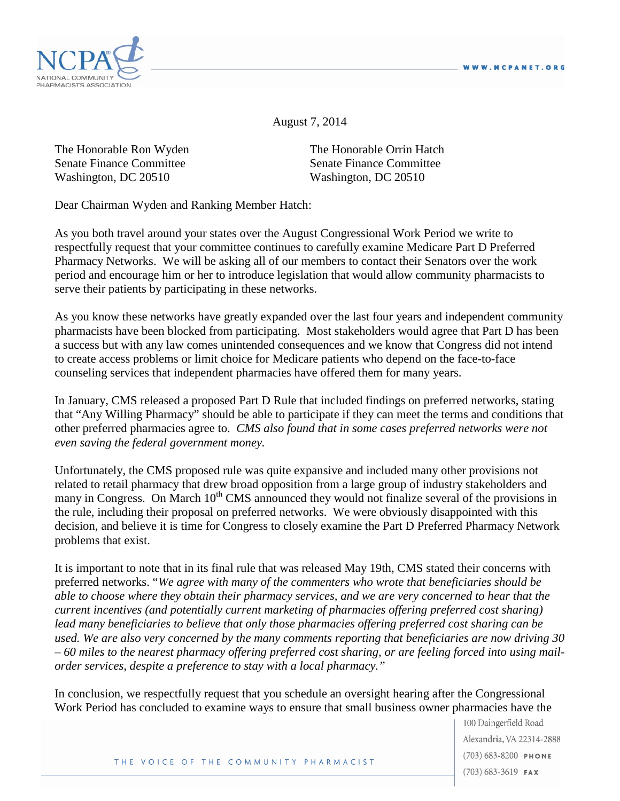

August 7, 2014

The Honorable Ron Wyden The Honorable Orrin Hatch Senate Finance Committee Senate Finance Committee Washington, DC 20510 Washington, DC 20510

Dear Chairman Wyden and Ranking Member Hatch:

As you both travel around your states over the August Congressional Work Period we write to respectfully request that your committee continues to carefully examine Medicare Part D Preferred Pharmacy Networks. We will be asking all of our members to contact their Senators over the work period and encourage him or her to introduce legislation that would allow community pharmacists to serve their patients by participating in these networks.

As you know these networks have greatly expanded over the last four years and independent community pharmacists have been blocked from participating. Most stakeholders would agree that Part D has been a success but with any law comes unintended consequences and we know that Congress did not intend to create access problems or limit choice for Medicare patients who depend on the face-to-face counseling services that independent pharmacies have offered them for many years.

In January, CMS released a proposed Part D Rule that included findings on preferred networks, stating that "Any Willing Pharmacy" should be able to participate if they can meet the terms and conditions that other preferred pharmacies agree to. *CMS also found that in some cases preferred networks were not even saving the federal government money.*

Unfortunately, the CMS proposed rule was quite expansive and included many other provisions not related to retail pharmacy that drew broad opposition from a large group of industry stakeholders and many in Congress. On March 10<sup>th</sup> CMS announced they would not finalize several of the provisions in the rule, including their proposal on preferred networks. We were obviously disappointed with this decision, and believe it is time for Congress to closely examine the Part D Preferred Pharmacy Network problems that exist.

It is important to note that in its final rule that was released May 19th, CMS stated their concerns with preferred networks. "*We agree with many of the commenters who wrote that beneficiaries should be able to choose where they obtain their pharmacy services, and we are very concerned to hear that the current incentives (and potentially current marketing of pharmacies offering preferred cost sharing) lead many beneficiaries to believe that only those pharmacies offering preferred cost sharing can be used. We are also very concerned by the many comments reporting that beneficiaries are now driving 30 – 60 miles to the nearest pharmacy offering preferred cost sharing, or are feeling forced into using mailorder services, despite a preference to stay with a local pharmacy."*

In conclusion, we respectfully request that you schedule an oversight hearing after the Congressional Work Period has concluded to examine ways to ensure that small business owner pharmacies have the

> 100 Daingerfield Road Alexandria, VA 22314-2888  $(703) 683 - 8200$  PHONE  $(703)$  683-3619 FAX

THE VOICE OF THE COMMUNITY PHARMACIST